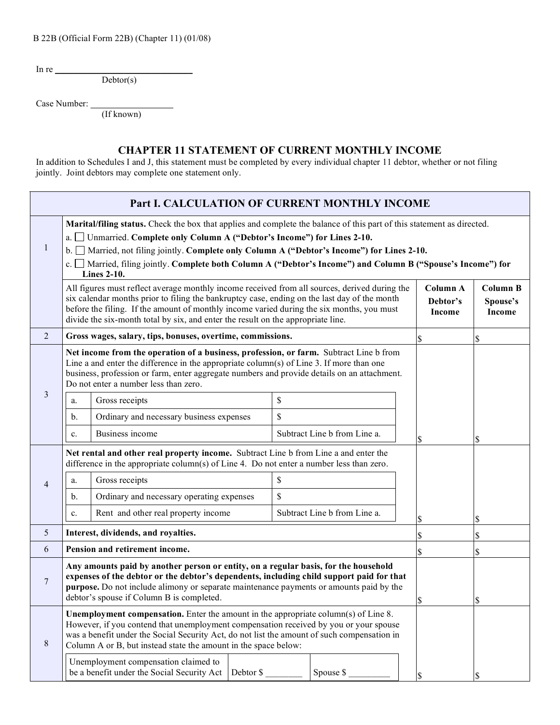| B 22B (Official Form 22B) (Chapter 11) (01/08) |  |
|------------------------------------------------|--|
|------------------------------------------------|--|

In re  $\blacksquare$ 

Debtor(s)

Case Number:

(If known)

## **CHAPTER 11 STATEMENT OF CURRENT MONTHLY INCOME**

In addition to Schedules I and J, this statement must be completed by every individual chapter 11 debtor, whether or not filing jointly. Joint debtors may complete one statement only.

| Part I. CALCULATION OF CURRENT MONTHLY INCOME |                                                                                                                                                                                                                                                                                                                                                                                                                                                          |                                                            |             |                              |   |                                |                                       |
|-----------------------------------------------|----------------------------------------------------------------------------------------------------------------------------------------------------------------------------------------------------------------------------------------------------------------------------------------------------------------------------------------------------------------------------------------------------------------------------------------------------------|------------------------------------------------------------|-------------|------------------------------|---|--------------------------------|---------------------------------------|
| 1                                             | Marital/filing status. Check the box that applies and complete the balance of this part of this statement as directed.<br>Unmarried. Complete only Column A ("Debtor's Income") for Lines 2-10.<br>a.l<br>Married, not filing jointly. Complete only Column A ("Debtor's Income") for Lines 2-10.<br>$\mathbf{b}$ .<br>c. Married, filing jointly. Complete both Column A ("Debtor's Income") and Column B ("Spouse's Income") for<br><b>Lines 2-10.</b> |                                                            |             |                              |   |                                |                                       |
|                                               | All figures must reflect average monthly income received from all sources, derived during the<br>six calendar months prior to filing the bankruptcy case, ending on the last day of the month<br>before the filing. If the amount of monthly income varied during the six months, you must<br>divide the six-month total by six, and enter the result on the appropriate line.                                                                           |                                                            |             |                              |   | Column A<br>Debtor's<br>Income | <b>Column B</b><br>Spouse's<br>Income |
| 2                                             |                                                                                                                                                                                                                                                                                                                                                                                                                                                          | Gross wages, salary, tips, bonuses, overtime, commissions. |             |                              |   | \$                             | \$                                    |
|                                               | Net income from the operation of a business, profession, or farm. Subtract Line b from<br>Line a and enter the difference in the appropriate column(s) of Line 3. If more than one<br>business, profession or farm, enter aggregate numbers and provide details on an attachment.<br>Do not enter a number less than zero.                                                                                                                               |                                                            |             |                              |   |                                |                                       |
| 3                                             | a.                                                                                                                                                                                                                                                                                                                                                                                                                                                       | Gross receipts                                             | \$          |                              |   |                                |                                       |
|                                               | b.                                                                                                                                                                                                                                                                                                                                                                                                                                                       | Ordinary and necessary business expenses                   | \$          |                              |   |                                |                                       |
|                                               | c.                                                                                                                                                                                                                                                                                                                                                                                                                                                       | Business income                                            |             | Subtract Line b from Line a. |   | \$                             | \$                                    |
|                                               | Net rental and other real property income. Subtract Line b from Line a and enter the<br>difference in the appropriate column(s) of Line 4. Do not enter a number less than zero.                                                                                                                                                                                                                                                                         |                                                            |             |                              |   |                                |                                       |
| $\overline{4}$                                | a.                                                                                                                                                                                                                                                                                                                                                                                                                                                       | Gross receipts                                             | \$          |                              |   |                                |                                       |
|                                               | b.                                                                                                                                                                                                                                                                                                                                                                                                                                                       | Ordinary and necessary operating expenses                  | $\mathbf S$ |                              |   |                                |                                       |
|                                               | $\mathbf{c}$ .                                                                                                                                                                                                                                                                                                                                                                                                                                           | Rent and other real property income                        |             | Subtract Line b from Line a. |   |                                | \$                                    |
| 5                                             | Interest, dividends, and royalties.                                                                                                                                                                                                                                                                                                                                                                                                                      |                                                            |             |                              |   |                                | \$                                    |
| 6                                             | Pension and retirement income.                                                                                                                                                                                                                                                                                                                                                                                                                           |                                                            |             |                              |   |                                | S                                     |
| 7                                             | Any amounts paid by another person or entity, on a regular basis, for the household<br>expenses of the debtor or the debtor's dependents, including child support paid for that<br>purpose. Do not include alimony or separate maintenance payments or amounts paid by the<br>debtor's spouse if Column B is completed.                                                                                                                                  |                                                            |             |                              |   | \$                             |                                       |
| $\,8\,$                                       | <b>Unemployment compensation.</b> Enter the amount in the appropriate column(s) of Line 8.<br>However, if you contend that unemployment compensation received by you or your spouse<br>was a benefit under the Social Security Act, do not list the amount of such compensation in<br>Column A or B, but instead state the amount in the space below:                                                                                                    |                                                            |             |                              |   |                                |                                       |
|                                               | Unemployment compensation claimed to<br>be a benefit under the Social Security Act<br>Debtor \$<br>Spouse \$                                                                                                                                                                                                                                                                                                                                             |                                                            |             | \$                           | S |                                |                                       |